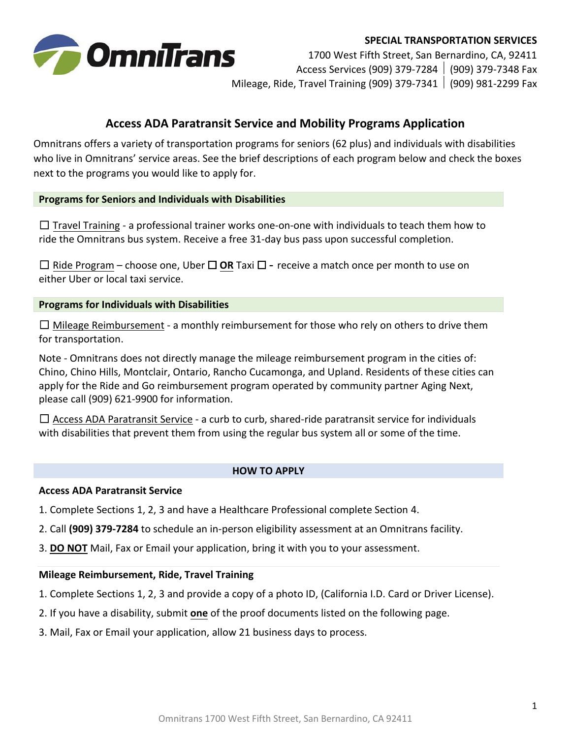

#### **SPECIAL TRANSPORTATION SERVICES**

1700 West Fifth Street, San Bernardino, CA, 92411 Access Services (909) 379-7284 (909) 379-7348 Fax Mileage, Ride, Travel Training (909) 379-7341 (909) 981-2299 Fax

# **Access ADA Paratransit Service and Mobility Programs Application**

Omnitrans offers a variety of transportation programs for seniors (62 plus) and individuals with disabilities who live in Omnitrans' service areas. See the brief descriptions of each program below and check the boxes next to the programs you would like to apply for.

### **Programs for Seniors and Individuals with Disabilities**

 $\Box$  Travel Training - a professional trainer works one-on-one with individuals to teach them how to ride the Omnitrans bus system. Receive a free 31-day bus pass upon successful completion.

☐ Ride Program – choose one, Uber ☐ **OR** Taxi ☐ - receive a match once per month to use on either Uber or local taxi service.

### **Programs for Individuals with Disabilities**

 $\Box$  Mileage Reimbursement - a monthly reimbursement for those who rely on others to drive them for transportation.

Note - Omnitrans does not directly manage the mileage reimbursement program in the cities of: Chino, Chino Hills, Montclair, Ontario, Rancho Cucamonga, and Upland. Residents of these cities can apply for the Ride and Go reimbursement program operated by community partner Aging Next, please call (909) 621-9900 for information.

 $\Box$  Access ADA Paratransit Service - a curb to curb, shared-ride paratransit service for individuals with disabilities that prevent them from using the regular bus system all or some of the time.

#### **HOW TO APPLY**

#### **Access ADA Paratransit Service**

1. Complete Sections 1, 2, 3 and have a Healthcare Professional complete Section 4.

2. Call **(909) 379-7284** to schedule an in-person eligibility assessment at an Omnitrans facility.

3. **DO NOT** Mail, Fax or Email your application, bring it with you to your assessment.

#### **Mileage Reimbursement, Ride, Travel Training**

- 1. Complete Sections 1, 2, 3 and provide a copy of a photo ID, (California I.D. Card or Driver License).
- 2. If you have a disability, submit **one** of the proof documents listed on the following page.
- 3. Mail, Fax or Email your application, allow 21 business days to process.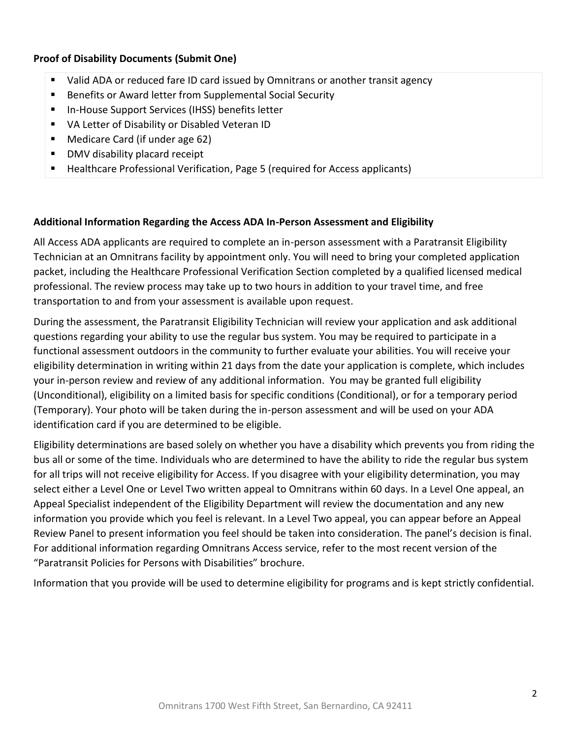# **Proof of Disability Documents (Submit One)**

- Valid ADA or reduced fare ID card issued by Omnitrans or another transit agency
- Benefits or Award letter from Supplemental Social Security
- In-House Support Services (IHSS) benefits letter
- VA Letter of Disability or Disabled Veteran ID
- Medicare Card (if under age 62)
- DMV disability placard receipt
- Healthcare Professional Verification, Page 5 (required for Access applicants)

### **Additional Information Regarding the Access ADA In-Person Assessment and Eligibility**

All Access ADA applicants are required to complete an in-person assessment with a Paratransit Eligibility Technician at an Omnitrans facility by appointment only. You will need to bring your completed application packet, including the Healthcare Professional Verification Section completed by a qualified licensed medical professional. The review process may take up to two hours in addition to your travel time, and free transportation to and from your assessment is available upon request.

During the assessment, the Paratransit Eligibility Technician will review your application and ask additional questions regarding your ability to use the regular bus system. You may be required to participate in a functional assessment outdoors in the community to further evaluate your abilities. You will receive your eligibility determination in writing within 21 days from the date your application is complete, which includes your in-person review and review of any additional information. You may be granted full eligibility (Unconditional), eligibility on a limited basis for specific conditions (Conditional), or for a temporary period (Temporary). Your photo will be taken during the in-person assessment and will be used on your ADA identification card if you are determined to be eligible.

Eligibility determinations are based solely on whether you have a disability which prevents you from riding the bus all or some of the time. Individuals who are determined to have the ability to ride the regular bus system for all trips will not receive eligibility for Access. If you disagree with your eligibility determination, you may select either a Level One or Level Two written appeal to Omnitrans within 60 days. In a Level One appeal, an Appeal Specialist independent of the Eligibility Department will review the documentation and any new information you provide which you feel is relevant. In a Level Two appeal, you can appear before an Appeal Review Panel to present information you feel should be taken into consideration. The panel's decision is final. For additional information regarding Omnitrans Access service, refer to the most recent version of the "Paratransit Policies for Persons with Disabilities" brochure.

Information that you provide will be used to determine eligibility for programs and is kept strictly confidential.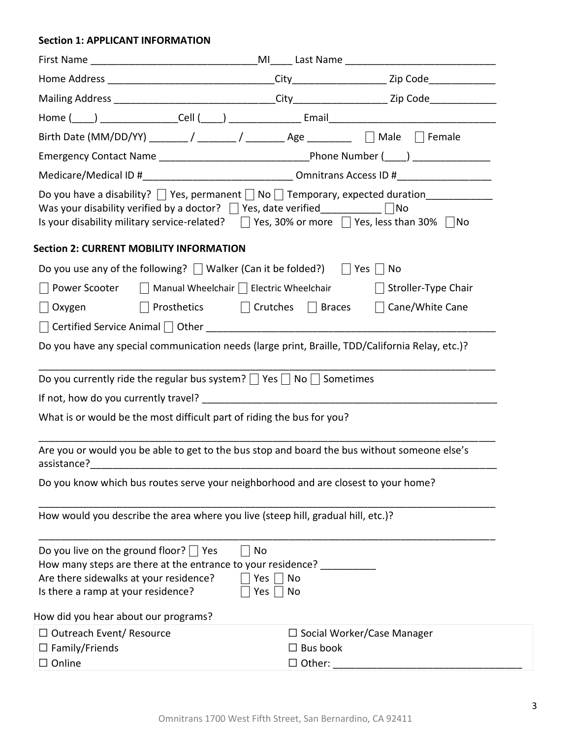#### **Section 1: APPLICANT INFORMATION**

| Birth Date (MM/DD/YY) _______/ _______/ ________ Age _________ [ Male [ Female                                                                                                                                                                                                                        |                                                      |                              |  |  |  |
|-------------------------------------------------------------------------------------------------------------------------------------------------------------------------------------------------------------------------------------------------------------------------------------------------------|------------------------------------------------------|------------------------------|--|--|--|
|                                                                                                                                                                                                                                                                                                       |                                                      |                              |  |  |  |
|                                                                                                                                                                                                                                                                                                       |                                                      |                              |  |  |  |
| Do you have a disability? $\Box$ Yes, permanent $\Box$ No $\Box$ Temporary, expected duration<br>Was your disability verified by a doctor? $\Box$ Yes, date verified___________ $\Box$ No<br>Is your disability military service-related? $\Box$ Yes, 30% or more $\Box$ Yes, less than 30% $\Box$ No |                                                      |                              |  |  |  |
| <b>Section 2: CURRENT MOBILITY INFORMATION</b>                                                                                                                                                                                                                                                        |                                                      |                              |  |  |  |
| Do you use any of the following? $\Box$ Walker (Can it be folded?) $\Box$ Yes $\Box$ No                                                                                                                                                                                                               |                                                      |                              |  |  |  |
| $\Box$ Power Scooter                                                                                                                                                                                                                                                                                  | $\Box$ Manual Wheelchair $\Box$ Electric Wheelchair  | $\Box$ Stroller-Type Chair   |  |  |  |
|                                                                                                                                                                                                                                                                                                       | Oxygen □ Prosthetics □ Crutches □ Braces             | $\Box$ Cane/White Cane       |  |  |  |
|                                                                                                                                                                                                                                                                                                       |                                                      |                              |  |  |  |
| Do you have any special communication needs (large print, Braille, TDD/California Relay, etc.)?                                                                                                                                                                                                       |                                                      |                              |  |  |  |
| Do you currently ride the regular bus system? $\Box$ Yes $\Box$ No $\Box$ Sometimes                                                                                                                                                                                                                   |                                                      |                              |  |  |  |
|                                                                                                                                                                                                                                                                                                       |                                                      |                              |  |  |  |
| What is or would be the most difficult part of riding the bus for you?                                                                                                                                                                                                                                |                                                      |                              |  |  |  |
| Are you or would you be able to get to the bus stop and board the bus without someone else's                                                                                                                                                                                                          |                                                      |                              |  |  |  |
| Do you know which bus routes serve your neighborhood and are closest to your home?                                                                                                                                                                                                                    |                                                      |                              |  |  |  |
| How would you describe the area where you live (steep hill, gradual hill, etc.)?                                                                                                                                                                                                                      |                                                      |                              |  |  |  |
| Do you live on the ground floor? $\Box$ Yes<br>How many steps are there at the entrance to your residence?<br>Are there sidewalks at your residence?<br>Is there a ramp at your residence?                                                                                                            | No<br>Yes $  \  $<br>No<br>Yes $\vert \ \vert$<br>No |                              |  |  |  |
| How did you hear about our programs?                                                                                                                                                                                                                                                                  |                                                      |                              |  |  |  |
| $\Box$ Outreach Event/ Resource                                                                                                                                                                                                                                                                       |                                                      | □ Social Worker/Case Manager |  |  |  |
| $\Box$ Family/Friends                                                                                                                                                                                                                                                                                 | $\Box$ Bus book                                      |                              |  |  |  |
| $\square$ Online                                                                                                                                                                                                                                                                                      | $\Box$ Other:                                        |                              |  |  |  |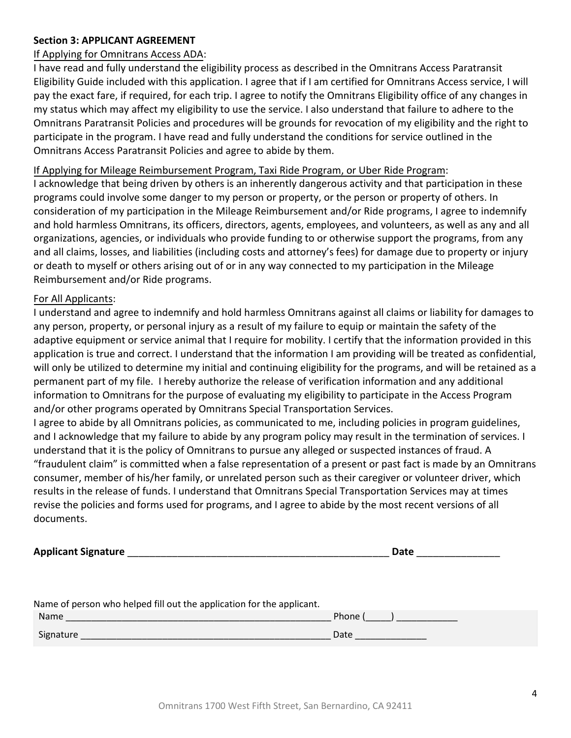# **Section 3: APPLICANT AGREEMENT**

# If Applying for Omnitrans Access ADA:

I have read and fully understand the eligibility process as described in the Omnitrans Access Paratransit Eligibility Guide included with this application. I agree that if I am certified for Omnitrans Access service, I will pay the exact fare, if required, for each trip. I agree to notify the Omnitrans Eligibility office of any changes in my status which may affect my eligibility to use the service. I also understand that failure to adhere to the Omnitrans Paratransit Policies and procedures will be grounds for revocation of my eligibility and the right to participate in the program. I have read and fully understand the conditions for service outlined in the Omnitrans Access Paratransit Policies and agree to abide by them.

### If Applying for Mileage Reimbursement Program, Taxi Ride Program, or Uber Ride Program:

I acknowledge that being driven by others is an inherently dangerous activity and that participation in these programs could involve some danger to my person or property, or the person or property of others. In consideration of my participation in the Mileage Reimbursement and/or Ride programs, I agree to indemnify and hold harmless Omnitrans, its officers, directors, agents, employees, and volunteers, as well as any and all organizations, agencies, or individuals who provide funding to or otherwise support the programs, from any and all claims, losses, and liabilities (including costs and attorney's fees) for damage due to property or injury or death to myself or others arising out of or in any way connected to my participation in the Mileage Reimbursement and/or Ride programs.

### For All Applicants:

I understand and agree to indemnify and hold harmless Omnitrans against all claims or liability for damages to any person, property, or personal injury as a result of my failure to equip or maintain the safety of the adaptive equipment or service animal that I require for mobility. I certify that the information provided in this application is true and correct. I understand that the information I am providing will be treated as confidential, will only be utilized to determine my initial and continuing eligibility for the programs, and will be retained as a permanent part of my file. I hereby authorize the release of verification information and any additional information to Omnitrans for the purpose of evaluating my eligibility to participate in the Access Program and/or other programs operated by Omnitrans Special Transportation Services.

I agree to abide by all Omnitrans policies, as communicated to me, including policies in program guidelines, and I acknowledge that my failure to abide by any program policy may result in the termination of services. I understand that it is the policy of Omnitrans to pursue any alleged or suspected instances of fraud. A "fraudulent claim" is committed when a false representation of a present or past fact is made by an Omnitrans consumer, member of his/her family, or unrelated person such as their caregiver or volunteer driver, which results in the release of funds. I understand that Omnitrans Special Transportation Services may at times revise the policies and forms used for programs, and I agree to abide by the most recent versions of all documents.

| <b>Applicant Signature</b>                                                                                              | Date    |
|-------------------------------------------------------------------------------------------------------------------------|---------|
|                                                                                                                         |         |
|                                                                                                                         |         |
| Name of person who helped fill out the application for the applicant.                                                   |         |
| Name<br>the contract of the contract of the contract of the contract of the contract of the contract of the contract of | Phone ( |
| Signature                                                                                                               | Date    |